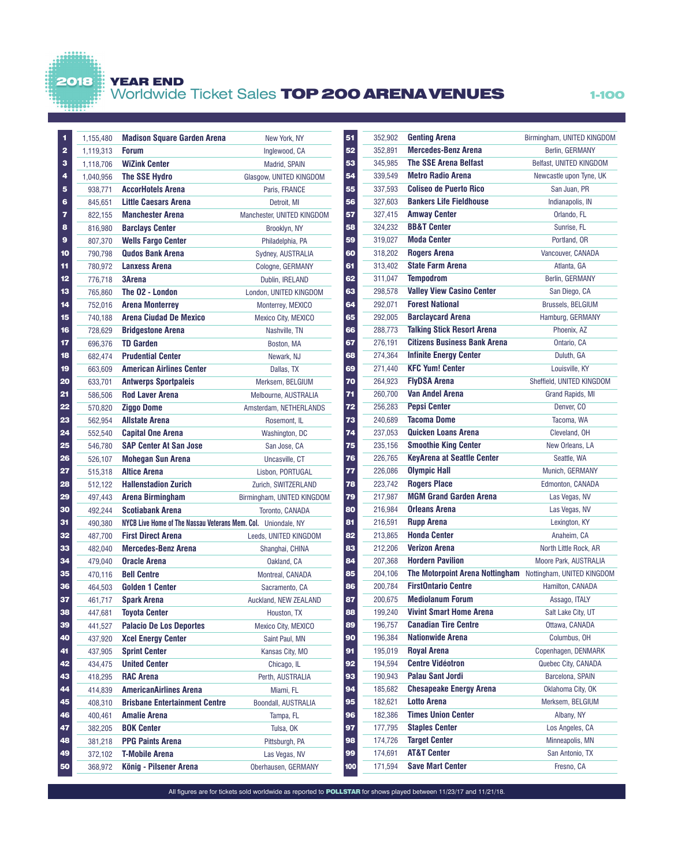## 2018 YEAR END

 $\frac{1}{2}$ 

# Worldwide Ticket Sales **TOP 200 ARENA VENUES** 1-100

| 1                       | 1,155,480 | <b>Madison Square Garden Arena</b>                            | New York, NY               | 51<br>352,902  | <b>Genting Arena</b>               |  |
|-------------------------|-----------|---------------------------------------------------------------|----------------------------|----------------|------------------------------------|--|
| $\overline{\mathbf{2}}$ | 1,119,313 | <b>Forum</b>                                                  | Inglewood, CA              | 352,891<br>52  | <b>Mercedes-Benz Arena</b>         |  |
| 3                       | 1,118,706 | <b>WiZink Center</b>                                          | Madrid, SPAIN              | 345,985<br>53  | <b>The SSE Arena Belfast</b>       |  |
| 4                       | 1,040,956 | <b>The SSE Hydro</b>                                          | Glasgow, UNITED KINGDOM    | 339,549<br>54  | <b>Metro Radio Arena</b>           |  |
| 5                       | 938,771   | <b>AccorHotels Arena</b>                                      | Paris, FRANCE              | 337,593<br>55  | <b>Coliseo de Puerto Rico</b>      |  |
| 6                       | 845,651   | <b>Little Caesars Arena</b>                                   | Detroit, MI                | 327,603<br>56  | <b>Bankers Life Fieldhouse</b>     |  |
| 7                       | 822,155   | <b>Manchester Arena</b>                                       | Manchester, UNITED KINGDOM | 57<br>327,415  | <b>Amway Center</b>                |  |
| 8                       | 816,980   | <b>Barclays Center</b>                                        | Brooklyn, NY               | 324,232<br>58  | <b>BB&amp;T Center</b>             |  |
| $\mathbf{9}$            | 807,370   | <b>Wells Fargo Center</b>                                     | Philadelphia, PA           | 319,027<br>59  | <b>Moda Center</b>                 |  |
| 10                      | 790,798   | <b>Qudos Bank Arena</b>                                       | Sydney, AUSTRALIA          | 318,202<br>60  | <b>Rogers Arena</b>                |  |
| 11                      | 780,972   | <b>Lanxess Arena</b>                                          | Cologne, GERMANY           | 313,402<br>61  | <b>State Farm Arena</b>            |  |
| 12                      | 776,718   | <b>3Arena</b>                                                 | Dublin, IRELAND            | 311,047<br>62  | <b>Tempodrom</b>                   |  |
| 13                      | 765,860   | The O2 - London                                               | London, UNITED KINGDOM     | 298,578<br>63  | <b>Valley View Casino Center</b>   |  |
| 14                      | 752,016   | <b>Arena Monterrey</b>                                        | Monterrey, MEXICO          | 292,071<br>64  | <b>Forest National</b>             |  |
| 15                      | 740,188   | <b>Arena Ciudad De Mexico</b>                                 | Mexico City, MEXICO        | 65<br>292,005  | <b>Barclaycard Arena</b>           |  |
| 16                      | 728,629   | <b>Bridgestone Arena</b>                                      | Nashville, TN              | 288,773<br>66  | <b>Talking Stick Resort Arena</b>  |  |
| 17                      | 696,376   | <b>TD Garden</b>                                              | Boston, MA                 | 276,191<br>67  | <b>Citizens Business Bank Are</b>  |  |
| 18                      | 682,474   | <b>Prudential Center</b>                                      | Newark, NJ                 | 274.364<br>68  | <b>Infinite Energy Center</b>      |  |
| 19                      | 663,609   | <b>American Airlines Center</b>                               | Dallas, TX                 | 271,440<br>69  | <b>KFC Yum! Center</b>             |  |
| 20                      | 633,701   | <b>Antwerps Sportpaleis</b>                                   | Merksem, BELGIUM           | 264,923<br>70  | <b>FlyDSA Arena</b>                |  |
| 21                      | 586,506   | <b>Rod Laver Arena</b>                                        | Melbourne, AUSTRALIA       | 260,700<br>71  | <b>Van Andel Arena</b>             |  |
| 22                      | 570,820   | <b>Ziggo Dome</b>                                             | Amsterdam, NETHERLANDS     | 256,283<br>72  | <b>Pepsi Center</b>                |  |
| 23                      | 562,954   | Allstate Arena                                                | Rosemont, IL               | 240,689<br>73  | <b>Tacoma Dome</b>                 |  |
| 24                      | 552,540   | <b>Capital One Arena</b>                                      | Washington, DC             | 237,053<br>74  | <b>Quicken Loans Arena</b>         |  |
| 25                      | 546,780   | <b>SAP Center At San Jose</b>                                 | San Jose, CA               | 75<br>235,156  | <b>Smoothie King Center</b>        |  |
| 26                      | 526,107   | <b>Mohegan Sun Arena</b>                                      | Uncasville, CT             | 226,765<br>76  | <b>KeyArena at Seattle Center</b>  |  |
| 27                      | 515,318   | <b>Altice Arena</b>                                           | Lisbon, PORTUGAL           | 226,086<br>77  | <b>Olympic Hall</b>                |  |
| 28                      | 512,122   | <b>Hallenstadion Zurich</b>                                   | Zurich, SWITZERLAND        | 223,742<br>78  | <b>Rogers Place</b>                |  |
| 29                      | 497,443   | <b>Arena Birmingham</b>                                       | Birmingham, UNITED KINGDOM | 217,987<br>79  | <b>MGM Grand Garden Arena</b>      |  |
| 30                      | 492,244   | Scotiabank Arena                                              | Toronto, CANADA            | 80<br>216,984  | <b>Orleans Arena</b>               |  |
| 31                      | 490,380   | NYCB Live Home of The Nassau Veterans Mem. Col. Uniondale, NY |                            | 81<br>216,591  | <b>Rupp Arena</b>                  |  |
| 32                      | 487,700   | <b>First Direct Arena</b>                                     | Leeds, UNITED KINGDOM      | 82<br>213,865  | <b>Honda Center</b>                |  |
| 33                      | 482,040   | <b>Mercedes-Benz Arena</b>                                    | Shanghai, CHINA            | 212,206<br>83  | <b>Verizon Arena</b>               |  |
| 34                      | 479,040   | <b>Oracle Arena</b>                                           | Oakland, CA                | 84<br>207,368  | <b>Hordern Pavilion</b>            |  |
| 35                      | 470,116   | <b>Bell Centre</b>                                            | Montreal, CANADA           | 85<br>204,106  | <b>The Motorpoint Arena Nottin</b> |  |
| 36                      | 464,503   | <b>Golden 1 Center</b>                                        | Sacramento, CA             | 200,784<br>86  | <b>FirstOntario Centre</b>         |  |
| 37                      | 461,717   | <b>Spark Arena</b>                                            | Auckland, NEW ZEALAND      | 87<br>200.675  | <b>Mediolanum Forum</b>            |  |
| 38                      | 447,681   | <b>Toyota Center</b>                                          | Houston, TX                | 88<br>199,240  | <b>Vivint Smart Home Arena</b>     |  |
| 39                      | 441,527   | <b>Palacio De Los Deportes</b>                                | Mexico City, MEXICO        | 89<br>196,757  | <b>Canadian Tire Centre</b>        |  |
| 40                      | 437,920   | <b>Xcel Energy Center</b>                                     | Saint Paul, MN             | 90<br>196,384  | <b>Nationwide Arena</b>            |  |
| 41                      | 437,905   | <b>Sprint Center</b>                                          | Kansas City, MO            | 91<br>195,019  | <b>Royal Arena</b>                 |  |
| 42                      | 434,475   | <b>United Center</b>                                          | Chicago, IL                | 92<br>194,594  | <b>Centre Vidéotron</b>            |  |
| 43                      | 418,295   | <b>RAC Arena</b>                                              | Perth, AUSTRALIA           | 190,943<br>93  | <b>Palau Sant Jordi</b>            |  |
| 44                      | 414,839   | <b>AmericanAirlines Arena</b>                                 | Miami, FL                  | 94<br>185,682  | <b>Chesapeake Energy Arena</b>     |  |
| 45                      | 408,310   | <b>Brisbane Entertainment Centre</b>                          | Boondall, AUSTRALIA        | 95<br>182,621  | <b>Lotto Arena</b>                 |  |
| 46                      | 400,461   | Amalie Arena                                                  | Tampa, FL                  | 96<br>182,386  | <b>Times Union Center</b>          |  |
| 47                      | 382,205   | <b>BOK Center</b>                                             | Tulsa, OK                  | 97<br>177,795  | <b>Staples Center</b>              |  |
| 48                      | 381,218   | <b>PPG Paints Arena</b>                                       | Pittsburgh, PA             | 98<br>174,726  | <b>Target Center</b>               |  |
| 49                      | 372,102   | <b>T-Mobile Arena</b>                                         | Las Vegas, NV              | 99<br>174,691  | <b>AT&amp;T Center</b>             |  |
| 50                      | 368,972   | König - Pilsener Arena                                        | Oberhausen, GERMANY        | 171,594<br>100 | <b>Save Mart Center</b>            |  |
|                         |           |                                                               |                            |                |                                    |  |

| <b>Genting Arena</b><br>352,902                | Birmingham, UNITED KINGDOM |
|------------------------------------------------|----------------------------|
| <b>Mercedes-Benz Arena</b><br>352,891          | Berlin, GERMANY            |
| <b>The SSE Arena Belfast</b><br>345,985        | Belfast, UNITED KINGDOM    |
| <b>Metro Radio Arena</b><br>339,549            | Newcastle upon Tyne, UK    |
| Coliseo de Puerto Rico<br>337,593              | San Juan, PR               |
| <b>Bankers Life Fieldhouse</b><br>327,603      | Indianapolis, IN           |
| <b>Amway Center</b><br>327,415                 | Orlando, FL                |
| <b>BB&amp;T Center</b><br>324,232              | Sunrise, FL                |
| <b>Moda Center</b><br>319,027                  | Portland, OR               |
| 318,202<br><b>Rogers Arena</b>                 | Vancouver, CANADA          |
| <b>State Farm Arena</b><br>313.402             | Atlanta, GA                |
| <b>Tempodrom</b><br>311,047                    | Berlin, GERMANY            |
| <b>Valley View Casino Center</b><br>298,578    | San Diego, CA              |
| <b>Forest National</b><br>292,071              | <b>Brussels, BELGIUM</b>   |
| <b>Barclaycard Arena</b><br>292,005            | Hamburg, GERMANY           |
| <b>Talking Stick Resort Arena</b><br>288,773   | Phoenix, AZ                |
| <b>Citizens Business Bank Arena</b><br>276.191 | Ontario, CA                |
| <b>Infinite Energy Center</b><br>274,364       | Duluth, GA                 |
| <b>KFC Yum! Center</b><br>271,440              | Louisville, KY             |
| <b>FlyDSA Arena</b><br>264,923                 | Sheffield, UNITED KINGDOM  |
| Van Andel Arena<br>260,700                     | Grand Rapids, MI           |
| <b>Pepsi Center</b><br>256,283                 | Denver, CO                 |
| <b>Tacoma Dome</b><br>240,689                  | Tacoma, WA                 |
| Quicken Loans Arena<br>237,053                 | Cleveland, OH              |
| <b>Smoothie King Center</b><br>235,156         | New Orleans, LA            |
| <b>KeyArena at Seattle Center</b><br>226,765   | Seattle, WA                |
| <b>Olympic Hall</b><br>226,086                 | Munich, GERMANY            |
| <b>Rogers Place</b><br>223,742                 | Edmonton, CANADA           |
| <b>MGM Grand Garden Arena</b><br>217,987       | Las Vegas, NV              |
| <b>Orleans Arena</b><br>216,984                | Las Vegas, NV              |
| 216,591<br><b>Rupp Arena</b>                   | Lexington, KY              |
| <b>Honda Center</b><br>213,865                 | Anaheim, CA                |
| <b>Verizon Arena</b><br>212,206                | North Little Rock, AR      |
| <b>Hordern Pavilion</b><br>207,368             | Moore Park, AUSTRALIA      |
| The Motorpoint Arena Nottingham<br>204,106     | Nottingham, UNITED KINGDOM |
| <b>FirstOntario Centre</b><br>200,784          | Hamilton, CANADA           |
| <b>Mediolanum Forum</b><br>200,675             | Assago, ITALY              |
| <b>Vivint Smart Home Arena</b><br>199,240      | Salt Lake City, UT         |
| <b>Canadian Tire Centre</b><br>196,757         | Ottawa, CANADA             |
| <b>Nationwide Arena</b><br>196,384             | Columbus, OH               |
| <b>Royal Arena</b><br>195,019                  | Copenhagen, DENMARK        |
| <b>Centre Vidéotron</b><br>194,594             | Quebec City, CANADA        |
| <b>Palau Sant Jordi</b><br>190,943             | Barcelona, SPAIN           |
| <b>Chesapeake Energy Arena</b><br>185,682      | Oklahoma City, OK          |
| <b>Lotto Arena</b><br>182,621                  | Merksem, BELGIUM           |
| <b>Times Union Center</b><br>182,386           | Albany, NY                 |
| <b>Staples Center</b><br>177,795               | Los Angeles, CA            |
| <b>Target Center</b><br>174,726                | Minneapolis, MN            |
| <b>AT&amp;T Center</b><br>174,691              | San Antonio, TX            |
| <b>Save Mart Center</b><br>171,594             | Fresno, CA                 |

All figures are for tickets sold worldwide as reported to **POLLSTAR** for shows played between 11/23/17 and 11/21/18.